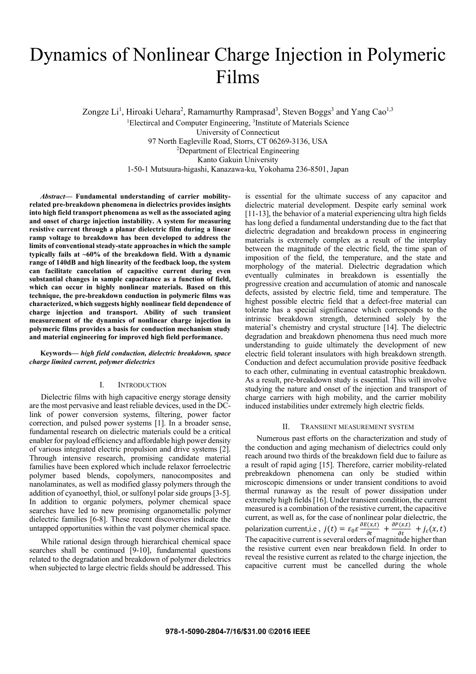# Dynamics of Nonlinear Charge Injection in Polymeric Films

Zongze Li<sup>1</sup>, Hiroaki Uehara<sup>2</sup>, Ramamurthy Ramprasad<sup>3</sup>, Steven Boggs<sup>3</sup> and Yang Cao<sup>1,3</sup>

<sup>1</sup>Electircal and Computer Engineering, <sup>3</sup>Institute of Materials Science

University of Connecticut

97 North Eagleville Road, Storrs, CT 06269-3136, USA 2

Department of Electrical Engineering

Kanto Gakuin University

1-50-1 Mutsuura-higashi, Kanazawa-ku, Yokohama 236-8501, Japan

*Abstract***— Fundamental understanding of carrier mobilityrelated pre-breakdown phenomena in dielectrics provides insights into high field transport phenomena as well as the associated aging and onset of charge injection instability. A system for measuring resistive current through a planar dielectric film during a linear ramp voltage to breakdown has been developed to address the limits of conventional steady-state approaches in which the sample typically fails at ~60% of the breakdown field. With a dynamic range of 140dB and high linearity of the feedback loop, the system can facilitate cancelation of capacitive current during even substantial changes in sample capacitance as a function of field, which can occur in highly nonlinear materials. Based on this technique, the pre-breakdown conduction in polymeric films was characterized, which suggests highly nonlinear field dependence of charge injection and transport. Ability of such transient measurement of the dynamics of nonlinear charge injection in polymeric films provides a basis for conduction mechanism study and material engineering for improved high field performance.** 

**Keywords—** *high field conduction, dielectric breakdown, space charge limited current, polymer dielectrics* 

## I. INTRODUCTION

Dielectric films with high capacitive energy storage density are the most pervasive and least reliable devices, used in the DClink of power conversion systems, filtering, power factor correction, and pulsed power systems [1]. In a broader sense, fundamental research on dielectric materials could be a critical enabler for payload efficiency and affordable high power density of various integrated electric propulsion and drive systems [2]. Through intensive research, promising candidate material families have been explored which include relaxor ferroelectric polymer based blends, copolymers, nanocomposites and nanolaminates, as well as modified glassy polymers through the addition of cyanoethyl, thiol, or sulfonyl polar side groups [3-5]. In addition to organic polymers, polymer chemical space searches have led to new promising organometallic polymer dielectric families [6-8]. These recent discoveries indicate the untapped opportunities within the vast polymer chemical space.

While rational design through hierarchical chemical space searches shall be continued [9-10], fundamental questions related to the degradation and breakdown of polymer dielectrics when subjected to large electric fields should be addressed. This is essential for the ultimate success of any capacitor and dielectric material development. Despite early seminal work [11-13], the behavior of a material experiencing ultra high fields has long defied a fundamental understanding due to the fact that dielectric degradation and breakdown process in engineering materials is extremely complex as a result of the interplay between the magnitude of the electric field, the time span of imposition of the field, the temperature, and the state and morphology of the material. Dielectric degradation which eventually culminates in breakdown is essentially the progressive creation and accumulation of atomic and nanoscale defects, assisted by electric field, time and temperature. The highest possible electric field that a defect-free material can tolerate has a special significance which corresponds to the intrinsic breakdown strength, determined solely by the material's chemistry and crystal structure [14]. The dielectric degradation and breakdown phenomena thus need much more understanding to guide ultimately the development of new electric field tolerant insulators with high breakdown strength. Conduction and defect accumulation provide positive feedback to each other, culminating in eventual catastrophic breakdown. As a result, pre-breakdown study is essential. This will involve studying the nature and onset of the injection and transport of charge carriers with high mobility, and the carrier mobility induced instabilities under extremely high electric fields.

## II. TRANSIENT MEASUREMENT SYSTEM

Numerous past efforts on the characterization and study of the conduction and aging mechanism of dielectrics could only reach around two thirds of the breakdown field due to failure as a result of rapid aging [15]. Therefore, carrier mobility-related prebreakdown phenomena can only be studied within microscopic dimensions or under transient conditions to avoid thermal runaway as the result of power dissipation under extremely high fields [16]. Under transient condition, the current measured is a combination of the resistive current, the capacitive current, as well as, for the case of nonlinear polar dielectric, the polarization current,i.e,  $j(t) = \varepsilon_0 \varepsilon \frac{\partial E(x,t)}{\partial t} + \frac{\partial P(x,t)}{\partial t} + j_c(x,t)$ The capacitive current is several orders of magnitude higher than the resistive current even near breakdown field. In order to reveal the resistive current as related to the charge injection, the capacitive current must be cancelled during the whole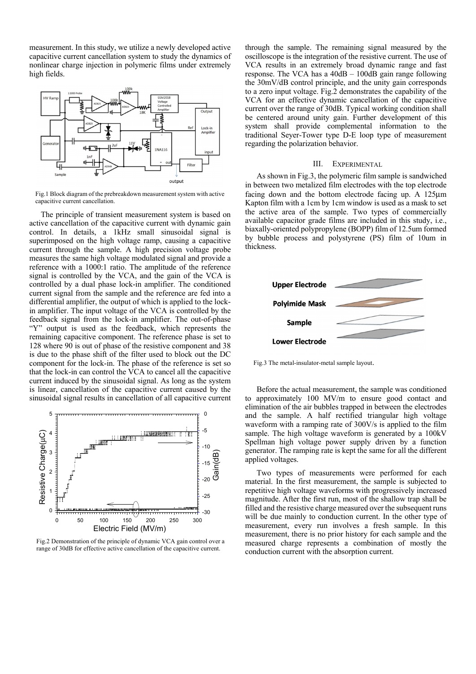measurement. In this study, we utilize a newly developed active capacitive current cancellation system to study the dynamics of nonlinear charge injection in polymeric films under extremely high fields.



Fig.1 Block diagram of the prebreakdown measurement system with active capacitive current cancellation.

The principle of transient measurement system is based on active cancellation of the capacitive current with dynamic gain control. In details, a 1kHz small sinusoidal signal is superimposed on the high voltage ramp, causing a capacitive current through the sample. A high precision voltage probe measures the same high voltage modulated signal and provide a reference with a 1000:1 ratio. The amplitude of the reference signal is controlled by the VCA, and the gain of the VCA is controlled by a dual phase lock-in amplifier. The conditioned current signal from the sample and the reference are fed into a differential amplifier, the output of which is applied to the lockin amplifier. The input voltage of the VCA is controlled by the feedback signal from the lock-in amplifier. The out-of-phase "Y" output is used as the feedback, which represents the remaining capacitive component. The reference phase is set to 128 where 90 is out of phase of the resistive component and 38 is due to the phase shift of the filter used to block out the DC component for the lock-in. The phase of the reference is set so that the lock-in can control the VCA to cancel all the capacitive current induced by the sinusoidal signal. As long as the system is linear, cancellation of the capacitive current caused by the sinusoidal signal results in cancellation of all capacitive current



Fig.2 Demonstration of the principle of dynamic VCA gain control over a range of 30dB for effective active cancellation of the capacitive current.

through the sample. The remaining signal measured by the oscilloscope is the integration of the resistive current. The use of VCA results in an extremely broad dynamic range and fast response. The VCA has a 40dB – 100dB gain range following the 30mV/dB control principle, and the unity gain corresponds to a zero input voltage. Fig.2 demonstrates the capability of the VCA for an effective dynamic cancellation of the capacitive current over the range of 30dB. Typical working condition shall be centered around unity gain. Further development of this system shall provide complemental information to the traditional Seyer-Tower type D-E loop type of measurement regarding the polarization behavior.

#### III. EXPERIMENTAL

As shown in Fig.3, the polymeric film sample is sandwiched in between two metalized film electrodes with the top electrode facing down and the bottom electrode facing up. A 125μm Kapton film with a 1cm by 1cm window is used as a mask to set the active area of the sample. Two types of commercially available capacitor grade films are included in this study, i.e., biaxally-oriented polypropylene (BOPP) film of 12.5um formed by bubble process and polystyrene (PS) film of 10um in thickness.



Fig.3 The metal-insulator-metal sample layout.

Before the actual measurement, the sample was conditioned to approximately 100 MV/m to ensure good contact and elimination of the air bubbles trapped in between the electrodes and the sample. A half rectified triangular high voltage waveform with a ramping rate of 300V/s is applied to the film sample. The high voltage waveform is generated by a 100kV Spellman high voltage power supply driven by a function generator. The ramping rate is kept the same for all the different applied voltages.

Two types of measurements were performed for each material. In the first measurement, the sample is subjected to repetitive high voltage waveforms with progressively increased magnitude. After the first run, most of the shallow trap shall be filled and the resistive charge measured over the subsequent runs will be due mainly to conduction current. In the other type of measurement, every run involves a fresh sample. In this measurement, there is no prior history for each sample and the measured charge represents a combination of mostly the conduction current with the absorption current.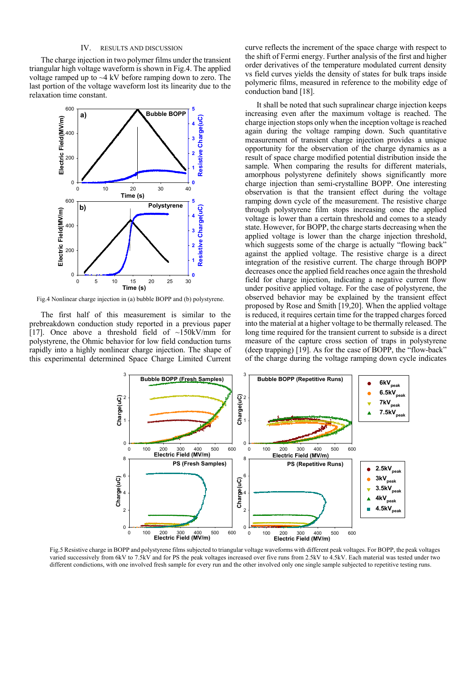## IV. RESULTS AND DISCUSSION

The charge injection in two polymer films under the transient triangular high voltage waveform is shown in Fig.4. The applied voltage ramped up to  $\sim$ 4 kV before ramping down to zero. The last portion of the voltage waveform lost its linearity due to the relaxation time constant.



Fig.4 Nonlinear charge injection in (a) bubble BOPP and (b) polystyrene.

The first half of this measurement is similar to the prebreakdown conduction study reported in a previous paper [17]. Once above a threshold field of  $\sim$ 150kV/mm for polystyrene, the Ohmic behavior for low field conduction turns rapidly into a highly nonlinear charge injection. The shape of this experimental determined Space Charge Limited Current

curve reflects the increment of the space charge with respect to the shift of Fermi energy. Further analysis of the first and higher order derivatives of the temperature modulated current density vs field curves yields the density of states for bulk traps inside polymeric films, measured in reference to the mobility edge of conduction band [18].

It shall be noted that such supralinear charge injection keeps increasing even after the maximum voltage is reached. The charge injection stops only when the inception voltage is reached again during the voltage ramping down. Such quantitative measurement of transient charge injection provides a unique opportunity for the observation of the charge dynamics as a result of space charge modified potential distribution inside the sample. When comparing the results for different materials, amorphous polystyrene definitely shows significantly more charge injection than semi-crystalline BOPP. One interesting observation is that the transient effect during the voltage ramping down cycle of the measurement. The resistive charge through polystyrene film stops increasing once the applied voltage is lower than a certain threshold and comes to a steady state. However, for BOPP, the charge starts decreasing when the applied voltage is lower than the charge injection threshold, which suggests some of the charge is actually "flowing back" against the applied voltage. The resistive charge is a direct integration of the resistive current. The charge through BOPP decreases once the applied field reaches once again the threshold field for charge injection, indicating a negative current flow under positive applied voltage. For the case of polystyrene, the observed behavior may be explained by the transient effect proposed by Rose and Smith [19,20]. When the applied voltage is reduced, it requires certain time for the trapped charges forced into the material at a higher voltage to be thermally released. The long time required for the transient current to subside is a direct measure of the capture cross section of traps in polystyrene (deep trapping) [19]. As for the case of BOPP, the "flow-back" of the charge during the voltage ramping down cycle indicates



Fig.5 Resistive charge in BOPP and polystyrene films subjected to triangular voltage waveforms with different peak voltages. For BOPP, the peak voltages varied successively from 6kV to 7.5kV and for PS the peak voltages increased over five runs from 2.5kV to 4.5kV. Each material was tested under two different condictions, with one involved fresh sample for every run and the other involved only one single sample subjected to repetitive testing runs.